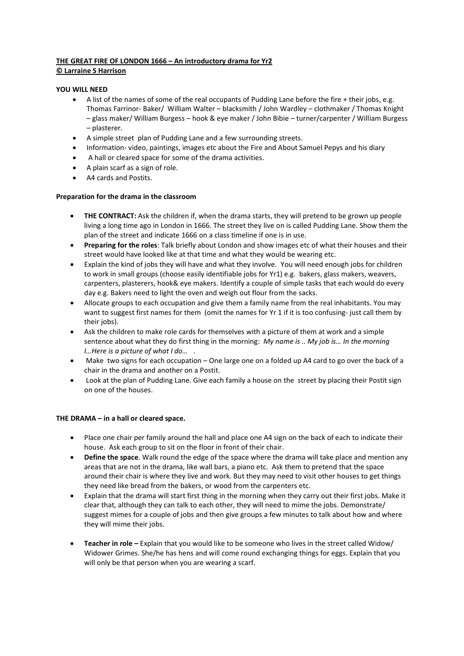# **THE GREAT FIRE OF LONDON 1666 – An introductory drama for Yr2 © Larraine S Harrison**

## **YOU WILL NEED**

- A list of the names of some of the real occupants of Pudding Lane before the fire + their jobs, e.g. Thomas Farrinor- Baker/ William Walter – blacksmith / John Wardley – clothmaker / Thomas Knight – glass maker/ William Burgess – hook & eye maker / John Bibie – turner/carpenter / William Burgess – plasterer.
- A simple street plan of Pudding Lane and a few surrounding streets.
- Information- video, paintings, images etc about the Fire and About Samuel Pepys and his diary
- A hall or cleared space for some of the drama activities.
- A plain scarf as a sign of role.
- A4 cards and Postits.

### **Preparation for the drama in the classroom**

- **THE CONTRACT:** Ask the children if, when the drama starts, they will pretend to be grown up people living a long time ago in London in 1666. The street they live on is called Pudding Lane. Show them the plan of the street and indicate 1666 on a class timeline if one is in use.
- **Preparing for the roles**: Talk briefly about London and show images etc of what their houses and their street would have looked like at that time and what they would be wearing etc.
- Explain the kind of jobs they will have and what they involve. You will need enough jobs for children to work in small groups (choose easily identifiable jobs for Yr1) e.g. bakers, glass makers, weavers, carpenters, plasterers, hook& eye makers. Identify a couple of simple tasks that each would do every day e.g. Bakers need to light the oven and weigh out flour from the sacks.
- Allocate groups to each occupation and give them a family name from the real inhabitants. You may want to suggest first names for them (omit the names for Yr 1 if it is too confusing- just call them by their jobs).
- Ask the children to make role cards for themselves with a picture of them at work and a simple sentence about what they do first thing in the morning: *My name is .. My job is… In the morning I…Here is a picture of what I do…* .
- Make two signs for each occupation One large one on a folded up A4 card to go over the back of a chair in the drama and another on a Postit.
- Look at the plan of Pudding Lane. Give each family a house on the street by placing their Postit sign on one of the houses.

### **THE DRAMA – in a hall or cleared space.**

- Place one chair per family around the hall and place one A4 sign on the back of each to indicate their house. Ask each group to sit on the floor in front of their chair.
- **Define the space**. Walk round the edge of the space where the drama will take place and mention any areas that are not in the drama, like wall bars, a piano etc. Ask them to pretend that the space around their chair is where they live and work. But they may need to visit other houses to get things they need like bread from the bakers, or wood from the carpenters etc.
- Explain that the drama will start first thing in the morning when they carry out their first jobs. Make it clear that, although they can talk to each other, they will need to mime the jobs. Demonstrate/ suggest mimes for a couple of jobs and then give groups a few minutes to talk about how and where they will mime their jobs.
- **Teacher in role –** Explain that you would like to be someone who lives in the street called Widow/ Widower Grimes. She/he has hens and will come round exchanging things for eggs. Explain that you will only be that person when you are wearing a scarf.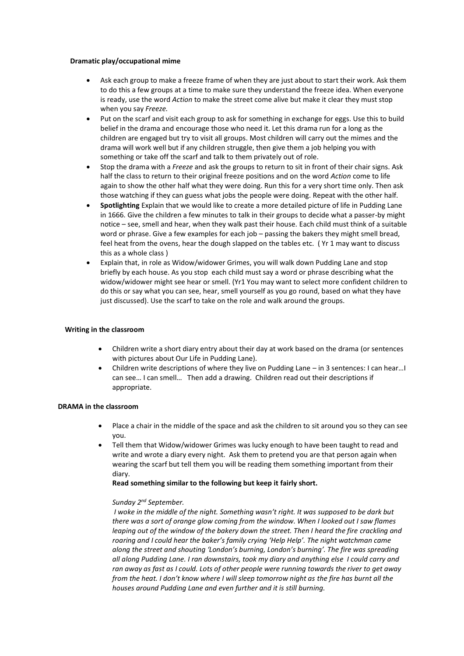#### **Dramatic play/occupational mime**

- Ask each group to make a freeze frame of when they are just about to start their work. Ask them to do this a few groups at a time to make sure they understand the freeze idea. When everyone is ready, use the word *Action* to make the street come alive but make it clear they must stop when you say *Freeze.*
- Put on the scarf and visit each group to ask for something in exchange for eggs. Use this to build belief in the drama and encourage those who need it. Let this drama run for a long as the children are engaged but try to visit all groups. Most children will carry out the mimes and the drama will work well but if any children struggle, then give them a job helping you with something or take off the scarf and talk to them privately out of role.
- Stop the drama with a *Freeze* and ask the groups to return to sit in front of their chair signs. Ask half the class to return to their original freeze positions and on the word *Action* come to life again to show the other half what they were doing. Run this for a very short time only. Then ask those watching if they can guess what jobs the people were doing. Repeat with the other half.
- **Spotlighting** Explain that we would like to create a more detailed picture of life in Pudding Lane in 1666. Give the children a few minutes to talk in their groups to decide what a passer-by might notice – see, smell and hear, when they walk past their house. Each child must think of a suitable word or phrase. Give a few examples for each job – passing the bakers they might smell bread, feel heat from the ovens, hear the dough slapped on the tables etc. ( Yr 1 may want to discuss this as a whole class )
- Explain that, in role as Widow/widower Grimes, you will walk down Pudding Lane and stop briefly by each house. As you stop each child must say a word or phrase describing what the widow/widower might see hear or smell. (Yr1 You may want to select more confident children to do this or say what you can see, hear, smell yourself as you go round, based on what they have just discussed). Use the scarf to take on the role and walk around the groups.

### **Writing in the classroom**

- Children write a short diary entry about their day at work based on the drama (or sentences with pictures about Our Life in Pudding Lane).
- Children write descriptions of where they live on Pudding Lane in 3 sentences: I can hear…I can see… I can smell… Then add a drawing. Children read out their descriptions if appropriate.

#### **DRAMA in the classroom**

- Place a chair in the middle of the space and ask the children to sit around you so they can see you.
- Tell them that Widow/widower Grimes was lucky enough to have been taught to read and write and wrote a diary every night. Ask them to pretend you are that person again when wearing the scarf but tell them you will be reading them something important from their diary.

### **Read something similar to the following but keep it fairly short.**

### *Sunday 2nd September.*

*I woke in the middle of the night. Something wasn't right. It was supposed to be dark but there was a sort of orange glow coming from the window. When I looked out I saw flames leaping out of the window of the bakery down the street. Then I heard the fire crackling and roaring and I could hear the baker's family crying 'Help Help'. The night watchman came along the street and shouting 'London's burning, London's burning'. The fire was spreading all along Pudding Lane. I ran downstairs, took my diary and anything else I could carry and ran away as fast as I could. Lots of other people were running towards the river to get away from the heat. I don't know where I will sleep tomorrow night as the fire has burnt all the houses around Pudding Lane and even further and it is still burning.*